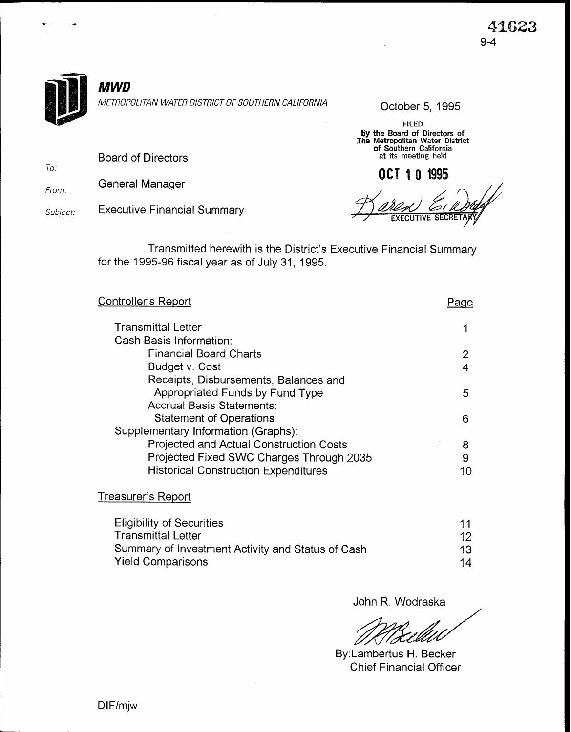

FILED by the Board of Directors of Jhe Metropolitan Water District **of Southern C**aliforni<br>at its meeting held

OCT 10 1995

Board of Directors

From: General Manager

To:

Subject: Executive Financial Summary

Transmitted herewith is the District's Executive Financial Summary for the 1995-96 fiscal year as of July 31, 1995.

| <u> Controller's Report</u>                    | aae' |
|------------------------------------------------|------|
| <b>Transmittal Letter</b>                      |      |
| Cash Basis Information:                        |      |
| <b>Financial Board Charts</b>                  |      |
| Budget v. Cost                                 | 4    |
| Receipts, Disbursements, Balances and          |      |
| Appropriated Funds by Fund Type                | 5    |
| <b>Accrual Basis Statements:</b>               |      |
| <b>Statement of Operations</b>                 | 6    |
| Supplementary Information (Graphs):            |      |
| <b>Projected and Actual Construction Costs</b> | 8    |
| Projected Fixed SWC Charges Through 2035       | 9    |
| <b>Historical Construction Expenditures</b>    | 10   |
| Treasurer's Report                             |      |

| <b>Eligibility of Securities</b>                  | 11 |
|---------------------------------------------------|----|
| Transmittal Letter                                | 12 |
| Summary of Investment Activity and Status of Cash | 13 |
| <b>Yield Comparisons</b>                          | 14 |

John R. Wodraska

By: Lambertus H. Becker Chief Financial Officer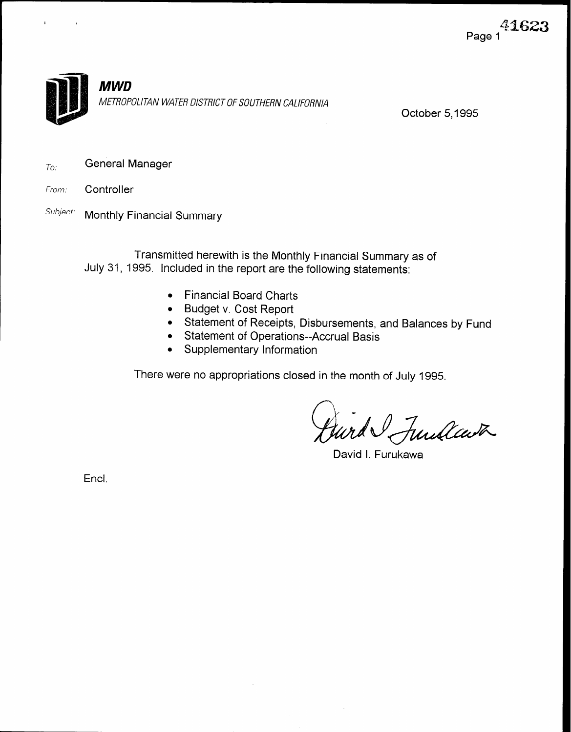

October 5,1995

 $T_{O}$ : General Manager

- From: Controller
- Subject: Monthly Financial Summary

Transmitted herewith is the Monthly Financial Summary as of July 31, 1995. Included in the report are the following statements:

- Financial Board Charts
- Budget v. Cost Report
- $\bullet$   $\;$  Statement of Receipts, Disbursements, and Balances by Fund
- Statement of Operations--Accrual Basis
- Supplementary Information

There were no appropriations closed in the month of July 1995.

Jurd Sundcast

David I. Furukawa

Encl.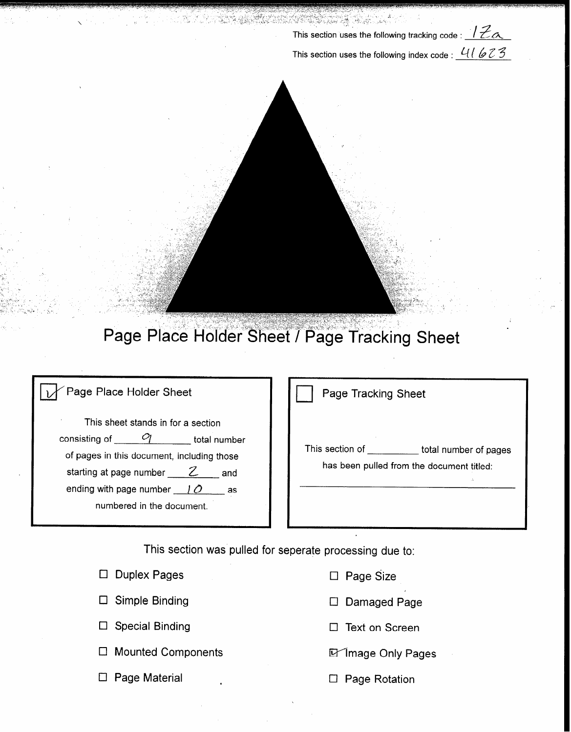This section uses the following tracking code :  $\sqrt{\mathcal{Z}_{\alpha}}$ This section uses the following index code :  $41623$ 



## Page Place Holder Sheet / Page Tracking Sheet

## Page Place Holder Sheet

This sheet stands in for a section consisting of  $\underline{\hspace{1cm}}\hspace{1cm} Q$  total number of pages in this document, including those starting at page number  $\frac{Z}{\ }$  and ending with page number  $10$  as numbered in the document.

| Page Tracking Sheet |  |
|---------------------|--|
|---------------------|--|

This section of \_\_\_\_\_\_\_\_\_\_ total number of pages has been pulled from the document titled:

I

This section was pulled for seperate processing due to:

 $\mathbf{v}$ 

| $\Box$ Duplex Pages       |
|---------------------------|
| $\Box$ Simple Binding     |
| $\Box$ Special Binding    |
| $\Box$ Mounted Components |
| $\Box$ Page Material      |

- □ Page Size
- D Damaged Page
- $\Box$  Text on Screen
- **D** Image Only Pages
- $\square$  Page Rotation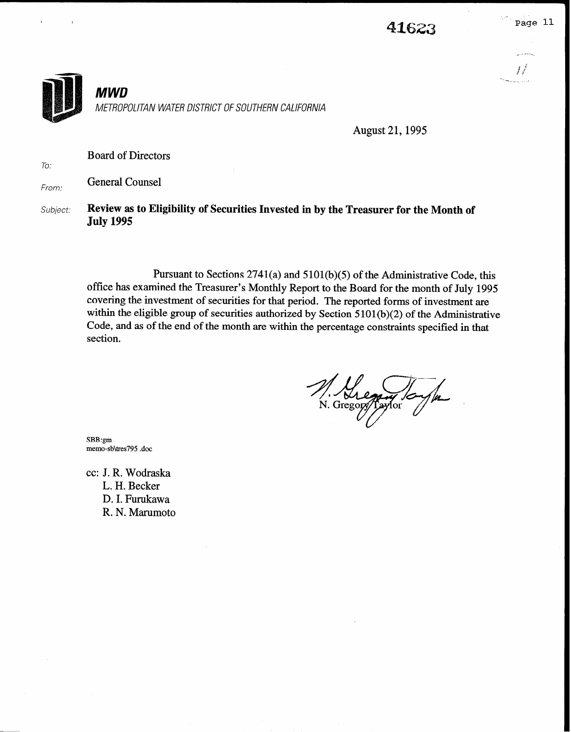

August 21,1995

Board of Directors

From: General Counsel

To:

Subject: Review as to Eligibility of Securities Invested in by the Treasurer for the Month of July 1995

> Pursuant to Sections  $2741(a)$  and  $5101(b)(5)$  of the Administrative Code, this office has examined the Treasurer's Monthly Report to the Board for the month of July 1995 covering the investment of securities for that period. The reported forms of investment are within the eligible group of securities authorized by Section  $5101(b)(2)$  of the Administrative Code, and as of the end of the month are within the percentage constraints specified in that section.

1. Thegang / C

SBB:gm memo-sb\tres795 .doc

cc: J. R. Wodraska L. H. Becker D. I. Furukawa R. N. Marumoto

jr" --.-\_,\_\_ .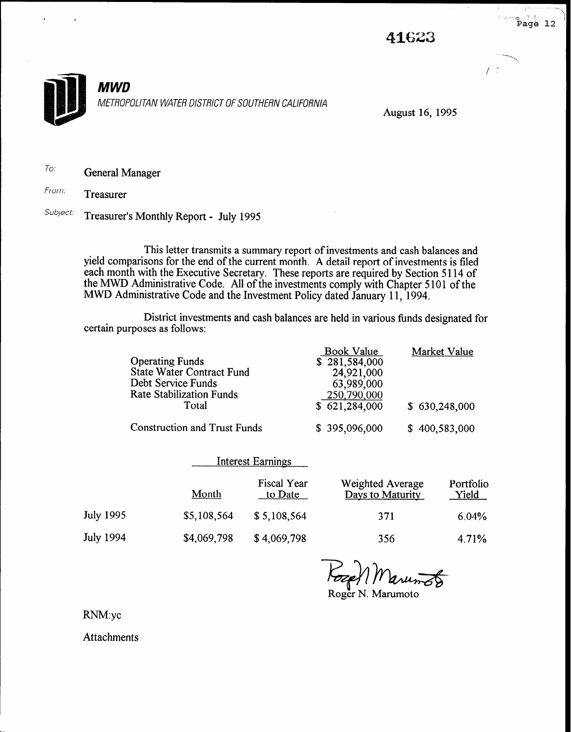

 $\rightarrow$  Page 12



August 16,199s

To: General Manager

From: Treasurer

Subject: Treasurer's Monthly Report - July 1995

This letter transmits a summary report of investments and cash balances and yield comparisons for the end of the current month. A detail report of investments is filed each month with the Executive Secretary. the MWD Administrative Code. These reports are required by Section 5 114 of All of the investments comply with Chapter 5 101 of the MWD Administrative Code and the Investment Policy dated January 11, 1994.

District investments and cash balances are held in various funds designated for certain purposes as follows:

|                                     | Book Value    | Market Value  |
|-------------------------------------|---------------|---------------|
| <b>Operating Funds</b>              | \$281,584,000 |               |
| <b>State Water Contract Fund</b>    | 24,921,000    |               |
| Debt Service Funds                  | 63,989,000    |               |
| <b>Rate Stabilization Funds</b>     | 250,790,000   |               |
| Total                               | \$621,284,000 | \$630,248,000 |
| <b>Construction and Trust Funds</b> | \$395,096,000 | \$400,583,000 |

|                  | <b>Interest Earnings</b> |                               |                                      |                    |
|------------------|--------------------------|-------------------------------|--------------------------------------|--------------------|
|                  | <b>Month</b>             | <b>Fiscal Year</b><br>to Date | Weighted Average<br>Days to Maturity | Portfolio<br>Yield |
| <b>July 1995</b> | \$5,108,564              | \$5,108,564                   | 371                                  | 6.04%              |
| <b>July 1994</b> | \$4,069,798              | \$4,069,798                   | 356                                  | 4.71%              |

Pozef | Maru<del>n 8</del>

RNM:yc

**Attachments**